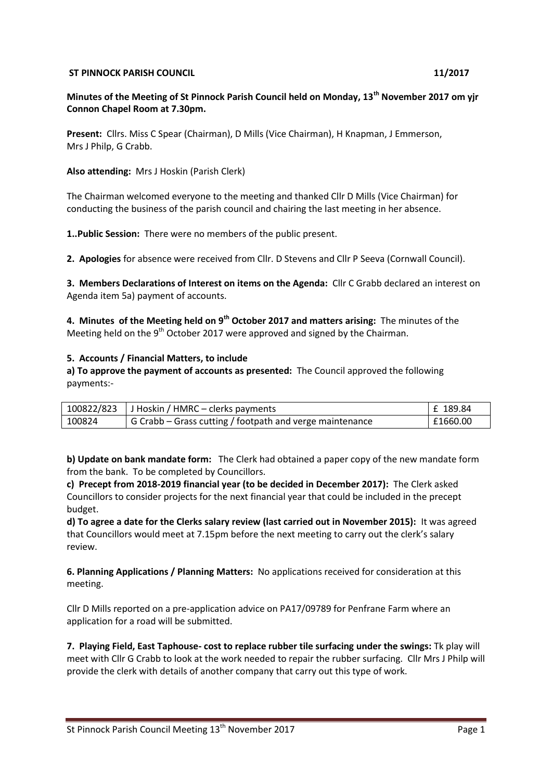#### **ST PINNOCK PARISH COUNCIL 11/2017**

# **Minutes of the Meeting of St Pinnock Parish Council held on Monday, 13th November 2017 om yjr Connon Chapel Room at 7.30pm.**

**Present:** Cllrs. Miss C Spear (Chairman), D Mills (Vice Chairman), H Knapman, J Emmerson, Mrs J Philp, G Crabb.

**Also attending:** Mrs J Hoskin (Parish Clerk)

The Chairman welcomed everyone to the meeting and thanked Cllr D Mills (Vice Chairman) for conducting the business of the parish council and chairing the last meeting in her absence.

**1..Public Session:** There were no members of the public present.

**2. Apologies** for absence were received from Cllr. D Stevens and Cllr P Seeva (Cornwall Council).

**3. Members Declarations of Interest on items on the Agenda:** Cllr C Grabb declared an interest on Agenda item 5a) payment of accounts.

**4. Minutes of the Meeting held on 9th October 2017 and matters arising:** The minutes of the Meeting held on the  $9<sup>th</sup>$  October 2017 were approved and signed by the Chairman.

## **5. Accounts / Financial Matters, to include**

**a) To approve the payment of accounts as presented:** The Council approved the following payments:-

|        | $100822/823$ J Hoskin / HMRC – clerks payments           | £ 189.84 |
|--------|----------------------------------------------------------|----------|
| 100824 | G Crabb – Grass cutting / footpath and verge maintenance | £1660.00 |

**b) Update on bank mandate form:** The Clerk had obtained a paper copy of the new mandate form from the bank. To be completed by Councillors.

**c) Precept from 2018-2019 financial year (to be decided in December 2017):** The Clerk asked Councillors to consider projects for the next financial year that could be included in the precept budget.

**d) To agree a date for the Clerks salary review (last carried out in November 2015):** It was agreed that Councillors would meet at 7.15pm before the next meeting to carry out the clerk's salary review.

**6. Planning Applications / Planning Matters:** No applications received for consideration at this meeting.

Cllr D Mills reported on a pre-application advice on PA17/09789 for Penfrane Farm where an application for a road will be submitted.

**7. Playing Field, East Taphouse- cost to replace rubber tile surfacing under the swings:** Tk play will meet with Cllr G Crabb to look at the work needed to repair the rubber surfacing. Cllr Mrs J Philp will provide the clerk with details of another company that carry out this type of work.